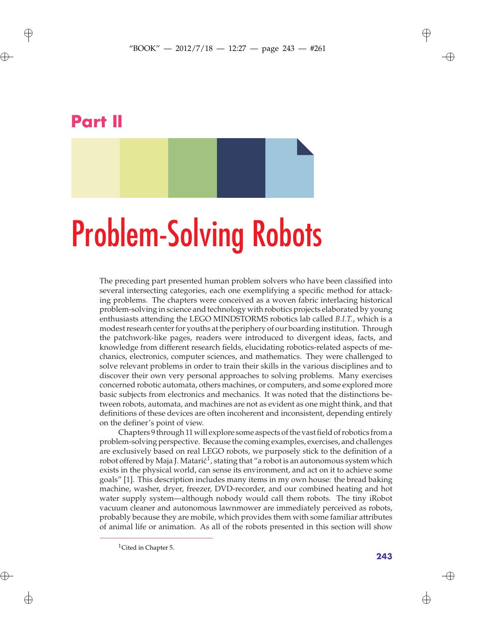# **Part II**

 $\oplus$ 

 $\oplus$ 

# Problem-Solving Robots

The preceding part presented human problem solvers who have been classified into several intersecting categories, each one exemplifying a specific method for attacking problems. The chapters were conceived as a woven fabric interlacing historical problem-solving in science and technology with robotics projects elaborated by young enthusiasts attending the LEGO MINDSTORMS robotics lab called *B.I.T.*, which is a modest researh center for youths at the periphery of our boarding institution. Through the patchwork-like pages, readers were introduced to divergent ideas, facts, and knowledge from different research fields, elucidating robotics-related aspects of mechanics, electronics, computer sciences, and mathematics. They were challenged to solve relevant problems in order to train their skills in the various disciplines and to discover their own very personal approaches to solving problems. Many exercises concerned robotic automata, others machines, or computers, and some explored more basic subjects from electronics and mechanics. It was noted that the distinctions between robots, automata, and machines are not as evident as one might think, and that definitions of these devices are often incoherent and inconsistent, depending entirely on the definer's point of view.

Chapters 9 through 11 will explore some aspects of the vast field of robotics from a problem-solving perspective. Because the coming examples, exercises, and challenges are exclusively based on real LEGO robots, we purposely stick to the definition of a robot offered by Maja J. Matari $\zeta^1$ , stating that "a robot is an autonomous system which exists in the physical world, can sense its environment, and act on it to achieve some goals" [1]. This description includes many items in my own house: the bread baking machine, washer, dryer, freezer, DVD-recorder, and our combined heating and hot water supply system—although nobody would call them robots. The tiny iRobot vacuum cleaner and autonomous lawnmower are immediately perceived as robots, probably because they are mobile, which provides them with some familiar attributes of animal life or animation. As all of the robots presented in this section will show

 $\rightarrow$ 

✐

✐

<sup>&</sup>lt;sup>1</sup>Cited in Chapter 5.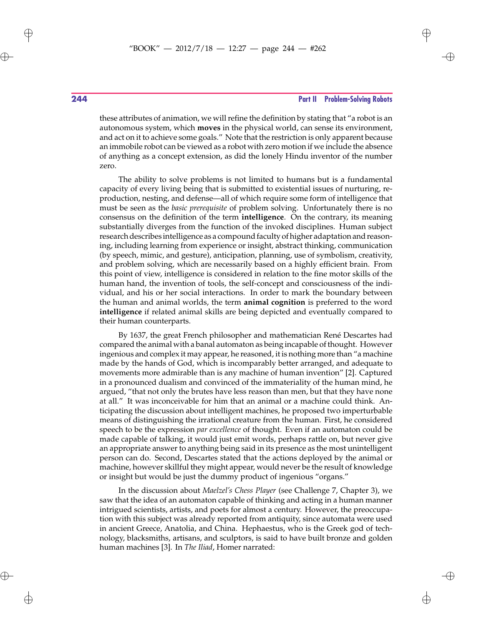$\rightarrow$ 

✐

## **244 Part II Problem-Solving Robots**

these attributes of animation, we will refine the definition by stating that "a robot is an autonomous system, which **moves** in the physical world, can sense its environment, and act on it to achieve some goals." Note that the restriction is only apparent because an immobile robot can be viewed as a robot with zero motion if we include the absence of anything as a concept extension, as did the lonely Hindu inventor of the number zero.

The ability to solve problems is not limited to humans but is a fundamental capacity of every living being that is submitted to existential issues of nurturing, reproduction, nesting, and defense—all of which require some form of intelligence that must be seen as the *basic prerequisite* of problem solving. Unfortunately there is no consensus on the definition of the term **intelligence**. On the contrary, its meaning substantially diverges from the function of the invoked disciplines. Human subject research describes intelligence as a compound faculty of higher adaptation and reasoning, including learning from experience or insight, abstract thinking, communication (by speech, mimic, and gesture), anticipation, planning, use of symbolism, creativity, and problem solving, which are necessarily based on a highly efficient brain. From this point of view, intelligence is considered in relation to the fine motor skills of the human hand, the invention of tools, the self-concept and consciousness of the individual, and his or her social interactions. In order to mark the boundary between the human and animal worlds, the term **animal cognition** is preferred to the word **intelligence** if related animal skills are being depicted and eventually compared to their human counterparts.

By 1637, the great French philosopher and mathematician René Descartes had compared the animal with a banal automaton as being incapable of thought. However ingenious and complex it may appear, he reasoned, it is nothing more than "a machine made by the hands of God, which is incomparably better arranged, and adequate to movements more admirable than is any machine of human invention" [2]. Captured in a pronounced dualism and convinced of the immateriality of the human mind, he argued, "that not only the brutes have less reason than men, but that they have none at all." It was inconceivable for him that an animal or a machine could think. Anticipating the discussion about intelligent machines, he proposed two imperturbable means of distinguishing the irrational creature from the human. First, he considered speech to be the expression *par excellence* of thought. Even if an automaton could be made capable of talking, it would just emit words, perhaps rattle on, but never give an appropriate answer to anything being said in its presence as the most unintelligent person can do. Second, Descartes stated that the actions deployed by the animal or machine, however skillful they might appear, would never be the result of knowledge or insight but would be just the dummy product of ingenious "organs."

In the discussion about *Maelzel's Chess Player* (see Challenge 7, Chapter 3), we saw that the idea of an automaton capable of thinking and acting in a human manner intrigued scientists, artists, and poets for almost a century. However, the preoccupation with this subject was already reported from antiquity, since automata were used in ancient Greece, Anatolia, and China. Hephaestus, who is the Greek god of technology, blacksmiths, artisans, and sculptors, is said to have built bronze and golden human machines [3]. In *The Iliad*, Homer narrated:

 $\oplus$ 

 $\oplus$ 

✐

 $\bigoplus$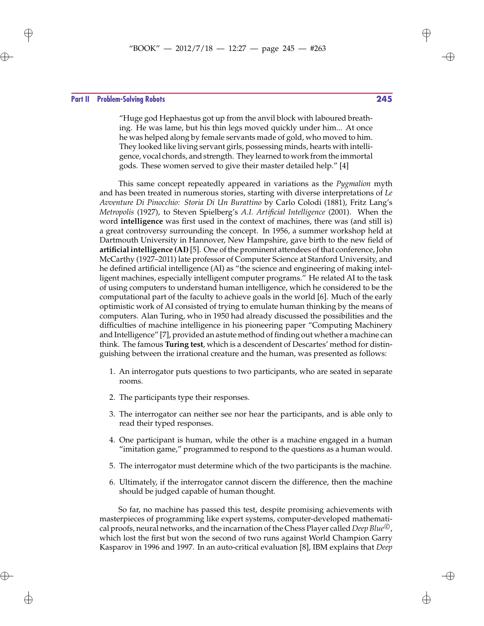# "BOOK" — 2012/7/18 — 12:27 — page 245 — #263  $\bigoplus$

#### **Part II Problem-Solving Robots 245**

 $\oplus$ 

 $\oplus$ 

"Huge god Hephaestus got up from the anvil block with laboured breathing. He was lame, but his thin legs moved quickly under him... At once he was helped along by female servants made of gold, who moved to him. They looked like living servant girls, possessing minds, hearts with intelligence, vocal chords, and strength. They learned to work from the immortal gods. These women served to give their master detailed help." [4]

This same concept repeatedly appeared in variations as the *Pygmalion* myth and has been treated in numerous stories, starting with diverse interpretations of *Le Avventure Di Pinocchio: Storia Di Un Burattino* by Carlo Colodi (1881), Fritz Lang's *Metropolis* (1927), to Steven Spielberg's *A.I. Artificial Intelligence* (2001). When the word **intelligence** was first used in the context of machines, there was (and still is) a great controversy surrounding the concept. In 1956, a summer workshop held at Dartmouth University in Hannover, New Hampshire, gave birth to the new field of **artificial intelligence (AI)**[5]. One of the prominent attendees of that conference, John McCarthy (1927–2011) late professor of Computer Science at Stanford University, and he defined artificial intelligence (AI) as "the science and engineering of making intelligent machines, especially intelligent computer programs." He related AI to the task of using computers to understand human intelligence, which he considered to be the computational part of the faculty to achieve goals in the world [6]. Much of the early optimistic work of AI consisted of trying to emulate human thinking by the means of computers. Alan Turing, who in 1950 had already discussed the possibilities and the difficulties of machine intelligence in his pioneering paper "Computing Machinery and Intelligence" [7], provided an astute method of finding out whether a machine can think. The famous **Turing test**, which is a descendent of Descartes' method for distinguishing between the irrational creature and the human, was presented as follows:

- 1. An interrogator puts questions to two participants, who are seated in separate rooms.
- 2. The participants type their responses.
- 3. The interrogator can neither see nor hear the participants, and is able only to read their typed responses.
- 4. One participant is human, while the other is a machine engaged in a human "imitation game," programmed to respond to the questions as a human would.
- 5. The interrogator must determine which of the two participants is the machine.
- 6. Ultimately, if the interrogator cannot discern the difference, then the machine should be judged capable of human thought.

So far, no machine has passed this test, despite promising achievements with masterpieces of programming like expert systems, computer-developed mathematical proofs, neural networks, and the incarnation of the Chess Player called *Deep Blue*<sup>*C*</sup>, which lost the first but won the second of two runs against World Champion Garry Kasparov in 1996 and 1997. In an auto-critical evaluation [8], IBM explains that *Deep*

✐

 $\rightarrow$ 

✐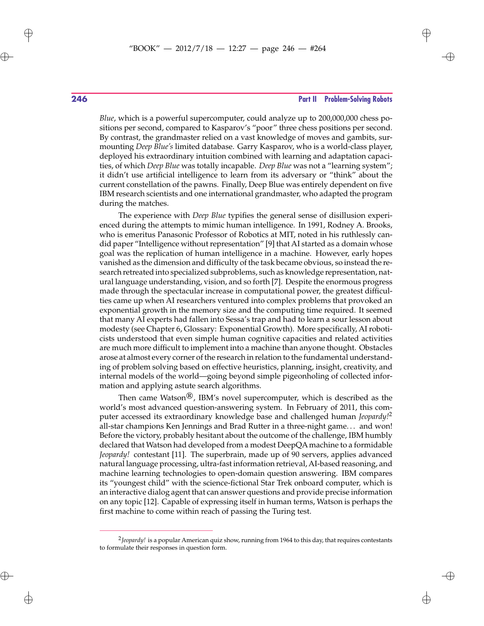## **246 Part II Problem-Solving Robots**

*Blue*, which is a powerful supercomputer, could analyze up to 200,000,000 chess positions per second, compared to Kasparov's "poor" three chess positions per second. By contrast, the grandmaster relied on a vast knowledge of moves and gambits, surmounting *Deep Blue's* limited database. Garry Kasparov, who is a world-class player, deployed his extraordinary intuition combined with learning and adaptation capacities, of which *Deep Blue* was totally incapable. *Deep Blue* was not a "learning system"; it didn't use artificial intelligence to learn from its adversary or "think" about the current constellation of the pawns. Finally, Deep Blue was entirely dependent on five IBM research scientists and one international grandmaster, who adapted the program during the matches.

The experience with *Deep Blue* typifies the general sense of disillusion experienced during the attempts to mimic human intelligence. In 1991, Rodney A. Brooks, who is emeritus Panasonic Professor of Robotics at MIT, noted in his ruthlessly candid paper "Intelligence without representation" [9] that AI started as a domain whose goal was the replication of human intelligence in a machine. However, early hopes vanished as the dimension and difficulty of the task became obvious, so instead the research retreated into specialized subproblems, such as knowledge representation, natural language understanding, vision, and so forth [7]. Despite the enormous progress made through the spectacular increase in computational power, the greatest difficulties came up when AI researchers ventured into complex problems that provoked an exponential growth in the memory size and the computing time required. It seemed that many AI experts had fallen into Sessa's trap and had to learn a sour lesson about modesty (see Chapter 6, Glossary: Exponential Growth). More specifically, AI roboticists understood that even simple human cognitive capacities and related activities are much more difficult to implement into a machine than anyone thought. Obstacles arose at almost every corner of the research in relation to the fundamental understanding of problem solving based on effective heuristics, planning, insight, creativity, and internal models of the world—going beyond simple pigeonholing of collected information and applying astute search algorithms.

Then came Watson<sup> $\mathcal{B}$ </sup>, IBM's novel supercomputer, which is described as the world's most advanced question-answering system. In February of 2011, this computer accessed its extraordinary knowledge base and challenged human *Jeopardy!*<sup>2</sup> all-star champions Ken Jennings and Brad Rutter in a three-night game. . . and won! Before the victory, probably hesitant about the outcome of the challenge, IBM humbly declared that Watson had developed from a modest DeepQA machine to a formidable *Jeopardy!* contestant [11]. The superbrain, made up of 90 servers, applies advanced natural language processing, ultra-fast information retrieval, AI-based reasoning, and machine learning technologies to open-domain question answering. IBM compares its "youngest child" with the science-fictional Star Trek onboard computer, which is an interactive dialog agent that can answer questions and provide precise information on any topic [12]. Capable of expressing itself in human terms, Watson is perhaps the first machine to come within reach of passing the Turing test.

 $\oplus$ 

 $\oplus$ 

 $\oplus$ 

<sup>2</sup>*Jeopardy!* is a popular American quiz show, running from 1964 to this day, that requires contestants to formulate their responses in question form.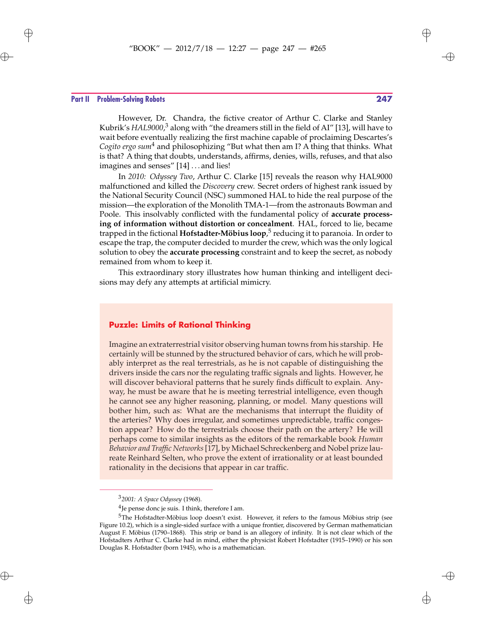#### **Part II Problem-Solving Robots 247**

 $\oplus$ 

 $\oplus$ 

✐

 $\oplus$ 

However, Dr. Chandra, the fictive creator of Arthur C. Clarke and Stanley Kubrik's HAL9000,<sup>3</sup> along with "the dreamers still in the field of AI" [13], will have to wait before eventually realizing the first machine capable of proclaiming Descartes's *Cogito ergo sum*<sup>4</sup> and philosophizing "But what then am I? A thing that thinks. What is that? A thing that doubts, understands, affirms, denies, wills, refuses, and that also imagines and senses" [14] . . . and lies!

In *2010: Odyssey Two*, Arthur C. Clarke [15] reveals the reason why HAL9000 malfunctioned and killed the *Discovery* crew. Secret orders of highest rank issued by the National Security Council (NSC) summoned HAL to hide the real purpose of the mission—the exploration of the Monolith TMA-1—from the astronauts Bowman and Poole. This insolvably conflicted with the fundamental policy of **accurate processing of information without distortion or concealment**. HAL, forced to lie, became trapped in the fictional **Hofstadter-Möbius loop**, <sup>5</sup> reducing it to paranoia. In order to escape the trap, the computer decided to murder the crew, which was the only logical solution to obey the **accurate processing** constraint and to keep the secret, as nobody remained from whom to keep it.

This extraordinary story illustrates how human thinking and intelligent decisions may defy any attempts at artificial mimicry.

## **Puzzle: Limits of Rational Thinking**

Imagine an extraterrestrial visitor observing human towns from his starship. He certainly will be stunned by the structured behavior of cars, which he will probably interpret as the real terrestrials, as he is not capable of distinguishing the drivers inside the cars nor the regulating traffic signals and lights. However, he will discover behavioral patterns that he surely finds difficult to explain. Anyway, he must be aware that he is meeting terrestrial intelligence, even though he cannot see any higher reasoning, planning, or model. Many questions will bother him, such as: What are the mechanisms that interrupt the fluidity of the arteries? Why does irregular, and sometimes unpredictable, traffic congestion appear? How do the terrestrials choose their path on the artery? He will perhaps come to similar insights as the editors of the remarkable book *Human Behavior and Traffic Networks*[17], by Michael Schreckenberg and Nobel prize laureate Reinhard Selten, who prove the extent of irrationality or at least bounded rationality in the decisions that appear in car traffic.

✐

 $\oplus$ 

<sup>3</sup>*2001: A Space Odyssey* (1968).

 $^{4}$ Je pense donc je suis. I think, therefore I am.

<sup>5</sup>The Hofstadter-Möbius loop doesn't exist. However, it refers to the famous Möbius strip (see Figure 10.2), which is a single-sided surface with a unique frontier, discovered by German mathematician August F. Möbius (1790–1868). This strip or band is an allegory of infinity. It is not clear which of the Hofstadters Arthur C. Clarke had in mind, either the physicist Robert Hofstadter (1915–1990) or his son Douglas R. Hofstadter (born 1945), who is a mathematician.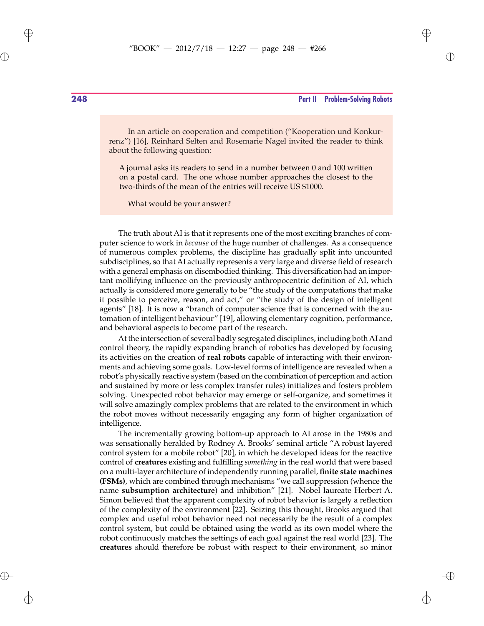$\rightarrow$ 

✐

## **248 Part II Problem-Solving Robots**

In an article on cooperation and competition ("Kooperation und Konkurrenz") [16], Reinhard Selten and Rosemarie Nagel invited the reader to think about the following question:

A journal asks its readers to send in a number between 0 and 100 written on a postal card. The one whose number approaches the closest to the two-thirds of the mean of the entries will receive US \$1000.

What would be your answer?

The truth about AI is that it represents one of the most exciting branches of computer science to work in *because* of the huge number of challenges. As a consequence of numerous complex problems, the discipline has gradually split into uncounted subdisciplines, so that AI actually represents a very large and diverse field of research with a general emphasis on disembodied thinking. This diversification had an important mollifying influence on the previously anthropocentric definition of AI, which actually is considered more generally to be "the study of the computations that make it possible to perceive, reason, and act," or "the study of the design of intelligent agents" [18]. It is now a "branch of computer science that is concerned with the automation of intelligent behaviour" [19], allowing elementary cognition, performance, and behavioral aspects to become part of the research.

At the intersection of several badly segregated disciplines, including both AI and control theory, the rapidly expanding branch of robotics has developed by focusing its activities on the creation of **real robots** capable of interacting with their environments and achieving some goals. Low-level forms of intelligence are revealed when a robot's physically reactive system (based on the combination of perception and action and sustained by more or less complex transfer rules) initializes and fosters problem solving. Unexpected robot behavior may emerge or self-organize, and sometimes it will solve amazingly complex problems that are related to the environment in which the robot moves without necessarily engaging any form of higher organization of intelligence.

The incrementally growing bottom-up approach to AI arose in the 1980s and was sensationally heralded by Rodney A. Brooks' seminal article "A robust layered control system for a mobile robot" [20], in which he developed ideas for the reactive control of **creatures** existing and fulfilling *something* in the real world that were based on a multi-layer architecture of independently running parallel, **finite state machines (FSMs)**, which are combined through mechanisms "we call suppression (whence the name **subsumption architecture**) and inhibition" [21]. Nobel laureate Herbert A. Simon believed that the apparent complexity of robot behavior is largely a reflection of the complexity of the environment [22]. Seizing this thought, Brooks argued that complex and useful robot behavior need not necessarily be the result of a complex control system, but could be obtained using the world as its own model where the robot continuously matches the settings of each goal against the real world [23]. The **creatures** should therefore be robust with respect to their environment, so minor

 $\oplus$ 

 $\oplus$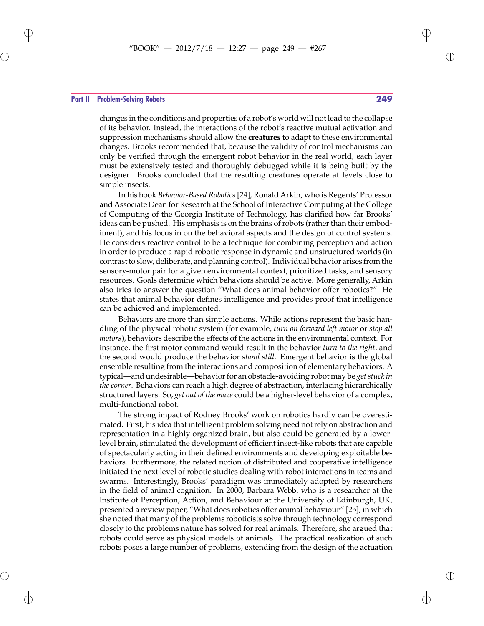# "BOOK" — 2012/7/18 — 12:27 — page 249 — #267  $\bigoplus$

#### **Part II Problem-Solving Robots 249**

 $\oplus$ 

 $\bigoplus$ 

changes in the conditions and properties of a robot's world will not lead to the collapse of its behavior. Instead, the interactions of the robot's reactive mutual activation and suppression mechanisms should allow the **creatures** to adapt to these environmental changes. Brooks recommended that, because the validity of control mechanisms can only be verified through the emergent robot behavior in the real world, each layer must be extensively tested and thoroughly debugged while it is being built by the designer. Brooks concluded that the resulting creatures operate at levels close to simple insects.

In his book *Behavior-Based Robotics* [24], Ronald Arkin, who is Regents' Professor and Associate Dean for Research at the School of Interactive Computing at the College of Computing of the Georgia Institute of Technology, has clarified how far Brooks' ideas can be pushed. His emphasis is on the brains of robots (rather than their embodiment), and his focus in on the behavioral aspects and the design of control systems. He considers reactive control to be a technique for combining perception and action in order to produce a rapid robotic response in dynamic and unstructured worlds (in contrast to slow, deliberate, and planning control). Individual behavior arises from the sensory-motor pair for a given environmental context, prioritized tasks, and sensory resources. Goals determine which behaviors should be active. More generally, Arkin also tries to answer the question "What does animal behavior offer robotics?" He states that animal behavior defines intelligence and provides proof that intelligence can be achieved and implemented.

Behaviors are more than simple actions. While actions represent the basic handling of the physical robotic system (for example, *turn on forward left motor* or *stop all motors*), behaviors describe the effects of the actions in the environmental context. For instance, the first motor command would result in the behavior *turn to the right*, and the second would produce the behavior *stand still*. Emergent behavior is the global ensemble resulting from the interactions and composition of elementary behaviors. A typical—and undesirable—behavior for an obstacle-avoiding robot may be *get stuck in the corner*. Behaviors can reach a high degree of abstraction, interlacing hierarchically structured layers. So, *get out of the maze* could be a higher-level behavior of a complex, multi-functional robot.

The strong impact of Rodney Brooks' work on robotics hardly can be overestimated. First, his idea that intelligent problem solving need not rely on abstraction and representation in a highly organized brain, but also could be generated by a lowerlevel brain, stimulated the development of efficient insect-like robots that are capable of spectacularly acting in their defined environments and developing exploitable behaviors. Furthermore, the related notion of distributed and cooperative intelligence initiated the next level of robotic studies dealing with robot interactions in teams and swarms. Interestingly, Brooks' paradigm was immediately adopted by researchers in the field of animal cognition. In 2000, Barbara Webb, who is a researcher at the Institute of Perception, Action, and Behaviour at the University of Edinburgh, UK, presented a review paper, "What does robotics offer animal behaviour" [25], in which she noted that many of the problems roboticists solve through technology correspond closely to the problems nature has solved for real animals. Therefore, she argued that robots could serve as physical models of animals. The practical realization of such robots poses a large number of problems, extending from the design of the actuation

✐

 $\rightarrow$ 

✐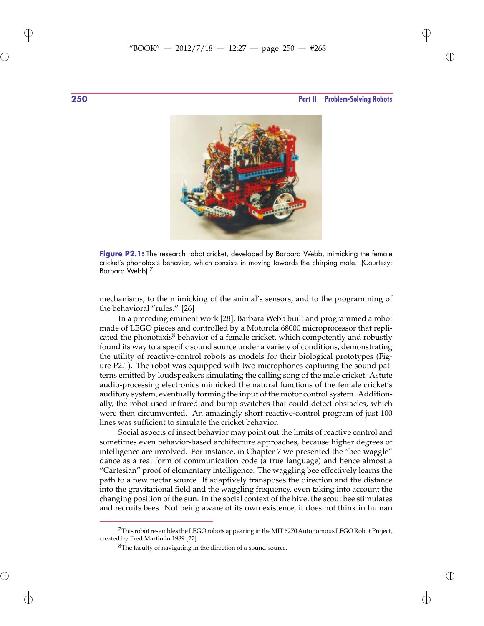$\oplus$ 

 $\oplus$ 



**Figure P2.1:** The research robot cricket, developed by Barbara Webb, mimicking the female cricket's phonotaxis behavior, which consists in moving towards the chirping male. (Courtesy: Barbara Webb).<sup>7</sup>

mechanisms, to the mimicking of the animal's sensors, and to the programming of the behavioral "rules." [26]

In a preceding eminent work [28], Barbara Webb built and programmed a robot made of LEGO pieces and controlled by a Motorola 68000 microprocessor that replicated the phonotaxis $8$  behavior of a female cricket, which competently and robustly found its way to a specific sound source under a variety of conditions, demonstrating the utility of reactive-control robots as models for their biological prototypes (Figure P2.1). The robot was equipped with two microphones capturing the sound patterns emitted by loudspeakers simulating the calling song of the male cricket. Astute audio-processing electronics mimicked the natural functions of the female cricket's auditory system, eventually forming the input of the motor control system. Additionally, the robot used infrared and bump switches that could detect obstacles, which were then circumvented. An amazingly short reactive-control program of just 100 lines was sufficient to simulate the cricket behavior.

Social aspects of insect behavior may point out the limits of reactive control and sometimes even behavior-based architecture approaches, because higher degrees of intelligence are involved. For instance, in Chapter 7 we presented the "bee waggle" dance as a real form of communication code (a true language) and hence almost a "Cartesian" proof of elementary intelligence. The waggling bee effectively learns the path to a new nectar source. It adaptively transposes the direction and the distance into the gravitational field and the waggling frequency, even taking into account the changing position of the sun. In the social context of the hive, the scout bee stimulates and recruits bees. Not being aware of its own existence, it does not think in human

 $\oplus$ 

✐

<sup>&</sup>lt;sup>7</sup>This robot resembles the LEGO robots appearing in the MIT 6270 Autonomous LEGO Robot Project, created by Fred Martin in 1989 [27].

<sup>&</sup>lt;sup>8</sup>The faculty of navigating in the direction of a sound source.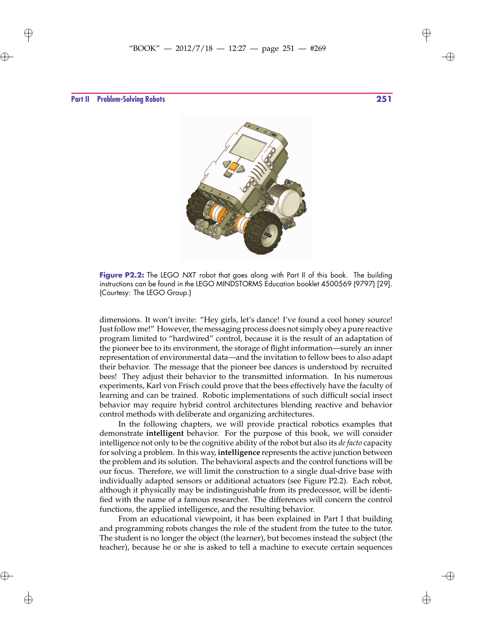✐

**Part II Problem-Solving Robots 251**

 $\oplus$ 

 $\oplus$ 

✐

 $\oplus$ 



Figure P2.2: The LEGO NXT robot that goes along with Part II of this book. The building instructions can be found in the LEGO MINDSTORMS Education booklet 4500569 (9797) [29]. (Courtesy: The LEGO Group.)

dimensions. It won't invite: "Hey girls, let's dance! I've found a cool honey source! Just follow me!" However, the messaging process does not simply obey a pure reactive program limited to "hardwired" control, because it is the result of an adaptation of the pioneer bee to its environment, the storage of flight information—surely an inner representation of environmental data—and the invitation to fellow bees to also adapt their behavior. The message that the pioneer bee dances is understood by recruited bees! They adjust their behavior to the transmitted information. In his numerous experiments, Karl von Frisch could prove that the bees effectively have the faculty of learning and can be trained. Robotic implementations of such difficult social insect behavior may require hybrid control architectures blending reactive and behavior control methods with deliberate and organizing architectures.

In the following chapters, we will provide practical robotics examples that demonstrate **intelligent** behavior. For the purpose of this book, we will consider intelligence not only to be the cognitive ability of the robot but also its *de facto* capacity for solving a problem. In this way, **intelligence** represents the active junction between the problem and its solution. The behavioral aspects and the control functions will be our focus. Therefore, we will limit the construction to a single dual-drive base with individually adapted sensors or additional actuators (see Figure P2.2). Each robot, although it physically may be indistinguishable from its predecessor, will be identified with the name of a famous researcher. The differences will concern the control functions, the applied intelligence, and the resulting behavior.

From an educational viewpoint, it has been explained in Part I that building and programming robots changes the role of the student from the tutee to the tutor. The student is no longer the object (the learner), but becomes instead the subject (the teacher), because he or she is asked to tell a machine to execute certain sequences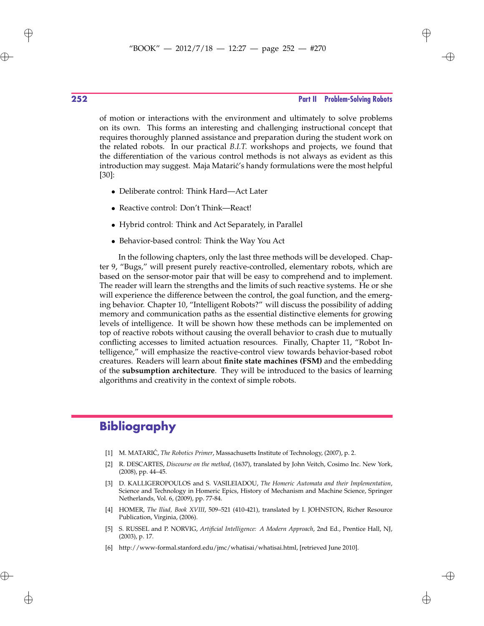$\rightarrow$ 

✐

## **252 Part II Problem-Solving Robots**

of motion or interactions with the environment and ultimately to solve problems on its own. This forms an interesting and challenging instructional concept that requires thoroughly planned assistance and preparation during the student work on the related robots. In our practical *B.I.T.* workshops and projects, we found that the differentiation of the various control methods is not always as evident as this introduction may suggest. Maja Matarić's handy formulations were the most helpful [30]:

- Deliberate control: Think Hard—Act Later
- Reactive control: Don't Think—React!
- Hybrid control: Think and Act Separately, in Parallel
- Behavior-based control: Think the Way You Act

In the following chapters, only the last three methods will be developed. Chapter 9, "Bugs," will present purely reactive-controlled, elementary robots, which are based on the sensor-motor pair that will be easy to comprehend and to implement. The reader will learn the strengths and the limits of such reactive systems. He or she will experience the difference between the control, the goal function, and the emerging behavior. Chapter 10, "Intelligent Robots?" will discuss the possibility of adding memory and communication paths as the essential distinctive elements for growing levels of intelligence. It will be shown how these methods can be implemented on top of reactive robots without causing the overall behavior to crash due to mutually conflicting accesses to limited actuation resources. Finally, Chapter 11, "Robot Intelligence," will emphasize the reactive-control view towards behavior-based robot creatures. Readers will learn about **finite state machines (FSM)** and the embedding of the **subsumption architecture**. They will be introduced to the basics of learning algorithms and creativity in the context of simple robots.

## **Bibliography**

- [1] M. MATARIĆ, *The Robotics Primer*, Massachusetts Institute of Technology, (2007), p. 2.
- [2] R. DESCARTES, *Discourse on the method*, (1637), translated by John Veitch, Cosimo Inc. New York, (2008), pp. 44–45.
- [3] D. KALLIGEROPOULOS and S. VASILEIADOU, *The Homeric Automata and their Implementation*, Science and Technology in Homeric Epics, History of Mechanism and Machine Science, Springer Netherlands, Vol. 6, (2009), pp. 77-84.
- [4] HOMER, *The Iliad, Book XVIII*, 509–521 (410-421), translated by I. JOHNSTON, Richer Resource Publication, Virginia, (2006).
- [5] S. RUSSEL and P. NORVIG, *Artificial Intelligence: A Modern Approach*, 2nd Ed., Prentice Hall, NJ, (2003), p. 17.
- [6] http://www-formal.stanford.edu/jmc/whatisai/whatisai.html, [retrieved June 2010].

 $\oplus$ 

 $\oplus$